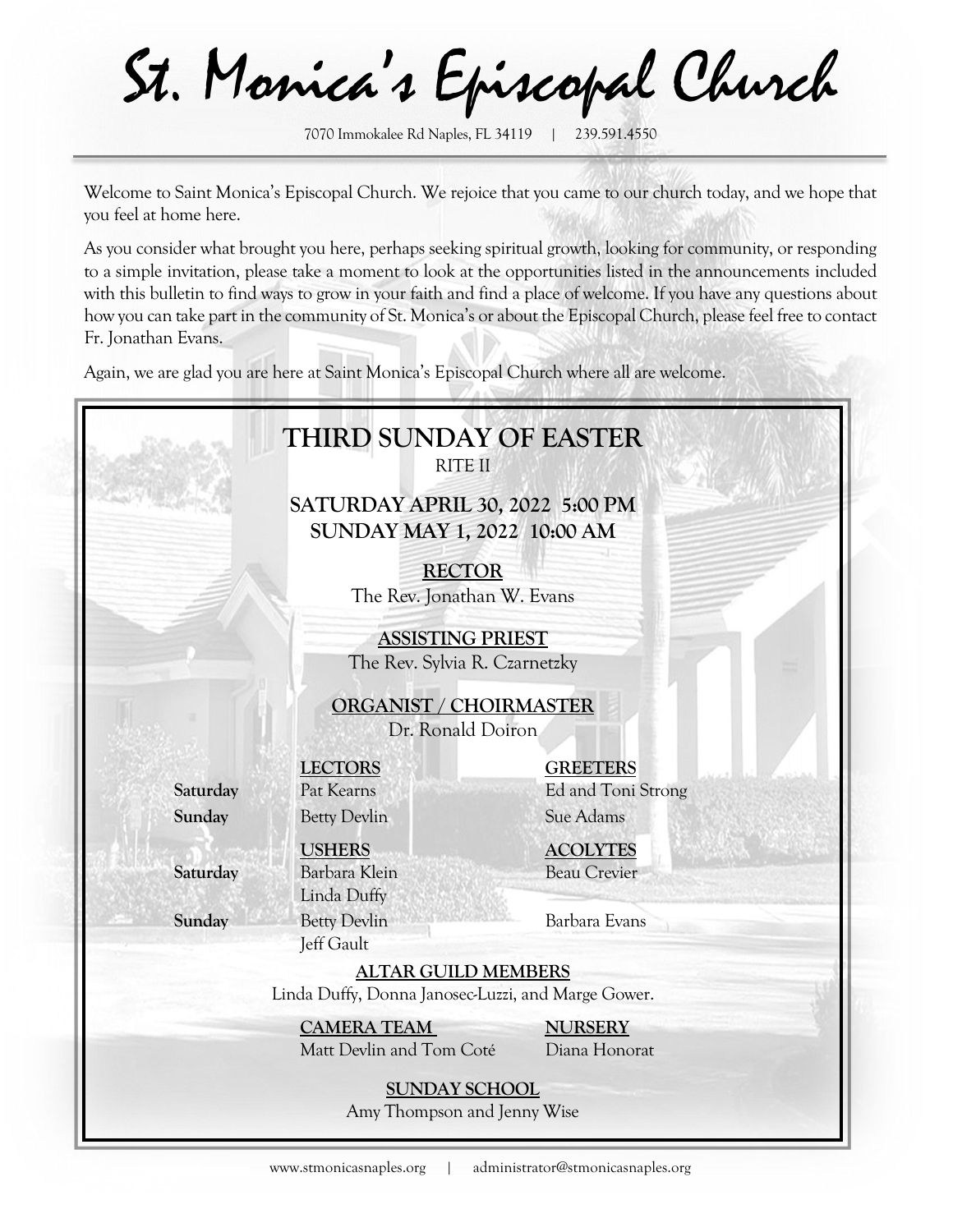St. Monica's Episcopal Church

7070 Immokalee Rd Naples, FL 34119 | 239.591.4550

Welcome to Saint Monica's Episcopal Church. We rejoice that you came to our church today, and we hope that you feel at home here.

As you consider what brought you here, perhaps seeking spiritual growth, looking for community, or responding to a simple invitation, please take a moment to look at the opportunities listed in the announcements included with this bulletin to find ways to grow in your faith and find a place of welcome. If you have any questions about how you can take part in the community of St. Monica's or about the Episcopal Church, please feel free to contact Fr. Jonathan Evans.

Again, we are glad you are here at Saint Monica's Episcopal Church where all are welcome.

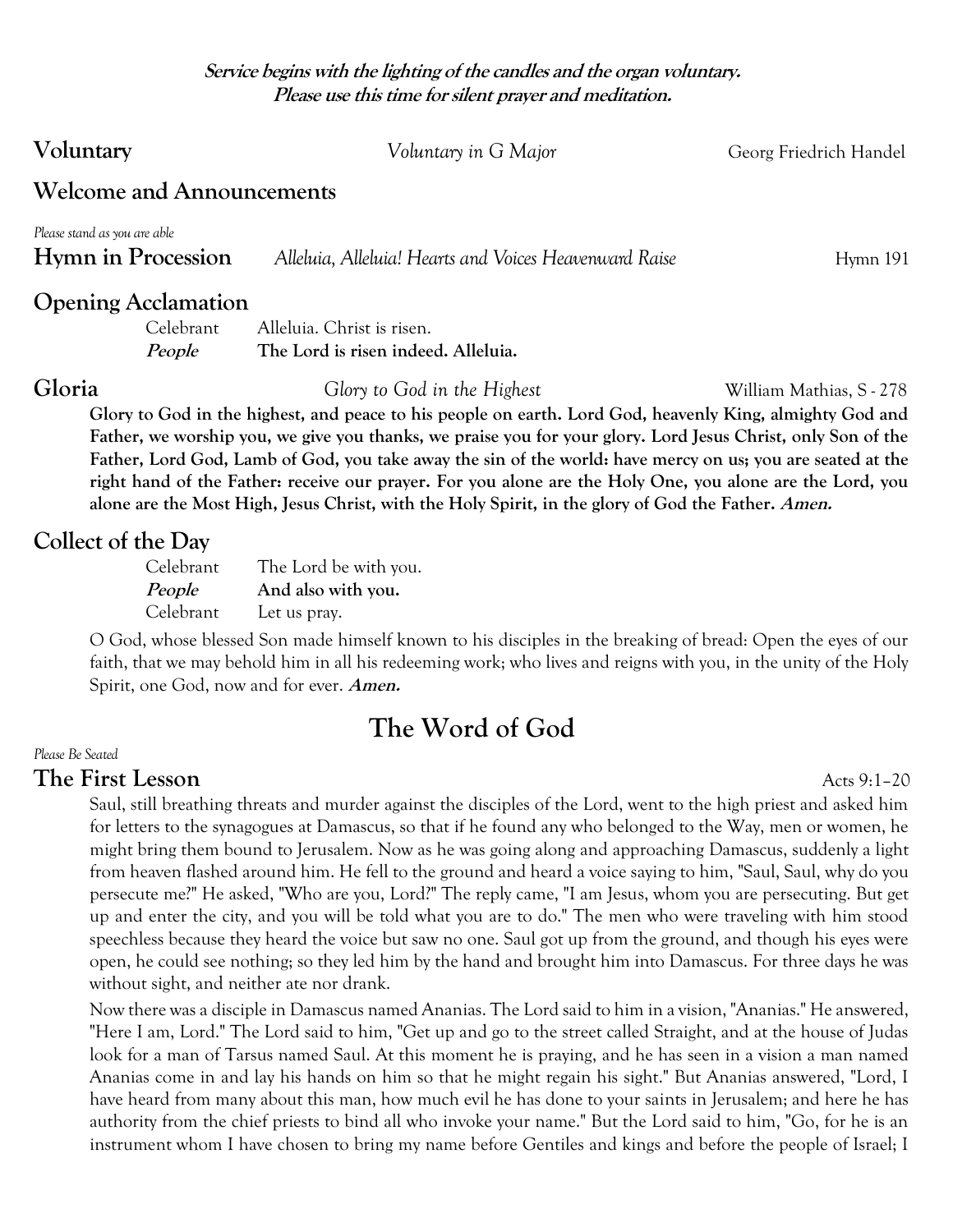**Service begins with the lighting of the candles and the organ voluntary. Please use this time for silent prayer and meditation.**

**Voluntary** *Voluntary in G Major* Georg Friedrich Handel

### **Welcome and Announcements**

*Please stand as you are able*

**Hymn in Procession** *Alleluia, Alleluia! Hearts and Voices Heavenward Raise* **Heaven 191** Hymn 191

### **Opening Acclamation**

Celebrant Alleluia. Christ is risen. **People The Lord is risen indeed. Alleluia.**

### **Gloria** Glory to God in the Highest William Mathias, S - 278

**Glory to God in the highest, and peace to his people on earth. Lord God, heavenly King, almighty God and Father, we worship you, we give you thanks, we praise you for your glory. Lord Jesus Christ, only Son of the Father, Lord God, Lamb of God, you take away the sin of the world: have mercy on us; you are seated at the right hand of the Father: receive our prayer. For you alone are the Holy One, you alone are the Lord, you alone are the Most High, Jesus Christ, with the Holy Spirit, in the glory of God the Father. Amen.**

### **Collect of the Day**

Celebrant The Lord be with you. **People And also with you.** Celebrant Let us pray.

O God, whose blessed Son made himself known to his disciples in the breaking of bread: Open the eyes of our faith, that we may behold him in all his redeeming work; who lives and reigns with you, in the unity of the Holy Spirit, one God, now and for ever. **Amen.**

## **The Word of God**

*Please Be Seated* 

### **The First Lesson**Acts 9:1–20

Saul, still breathing threats and murder against the disciples of the Lord, went to the high priest and asked him for letters to the synagogues at Damascus, so that if he found any who belonged to the Way, men or women, he might bring them bound to Jerusalem. Now as he was going along and approaching Damascus, suddenly a light from heaven flashed around him. He fell to the ground and heard a voice saying to him, "Saul, Saul, why do you persecute me?" He asked, "Who are you, Lord?" The reply came, "I am Jesus, whom you are persecuting. But get up and enter the city, and you will be told what you are to do." The men who were traveling with him stood speechless because they heard the voice but saw no one. Saul got up from the ground, and though his eyes were open, he could see nothing; so they led him by the hand and brought him into Damascus. For three days he was without sight, and neither ate nor drank.

Now there was a disciple in Damascus named Ananias. The Lord said to him in a vision, "Ananias." He answered, "Here I am, Lord." The Lord said to him, "Get up and go to the street called Straight, and at the house of Judas look for a man of Tarsus named Saul. At this moment he is praying, and he has seen in a vision a man named Ananias come in and lay his hands on him so that he might regain his sight." But Ananias answered, "Lord, I have heard from many about this man, how much evil he has done to your saints in Jerusalem; and here he has authority from the chief priests to bind all who invoke your name." But the Lord said to him, "Go, for he is an instrument whom I have chosen to bring my name before Gentiles and kings and before the people of Israel; I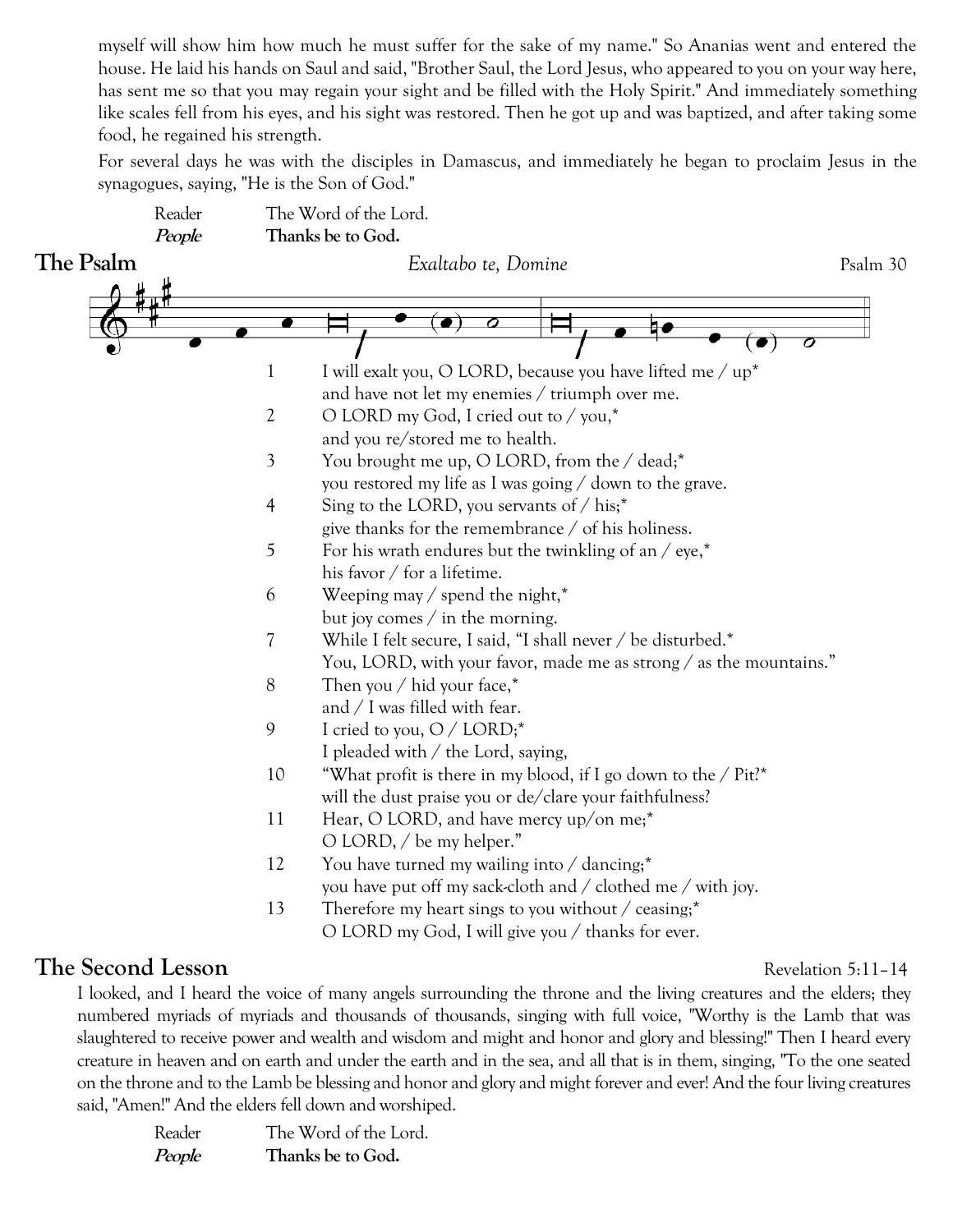myself will show him how much he must suffer for the sake of my name." So Ananias went and entered the house. He laid his hands on Saul and said, "Brother Saul, the Lord Jesus, who appeared to you on your way here, has sent me so that you may regain your sight and be filled with the Holy Spirit." And immediately something like scales fell from his eyes, and his sight was restored. Then he got up and was baptized, and after taking some food, he regained his strength.

For several days he was with the disciples in Damascus, and immediately he began to proclaim Jesus in the synagogues, saying, "He is the Son of God."



### **The** Second Lesson **Revelation 5:11**–14

I looked, and I heard the voice of many angels surrounding the throne and the living creatures and the elders; they numbered myriads of myriads and thousands of thousands, singing with full voice, "Worthy is the Lamb that was slaughtered to receive power and wealth and wisdom and might and honor and glory and blessing!" Then I heard every creature in heaven and on earth and under the earth and in the sea, and all that is in them, singing, "To the one seated on the throne and to the Lamb be blessing and honor and glory and might forever and ever! And the four living creatures said, "Amen!" And the elders fell down and worshiped.

| Reader | The Word of the Lord. |
|--------|-----------------------|
| People | Thanks be to God.     |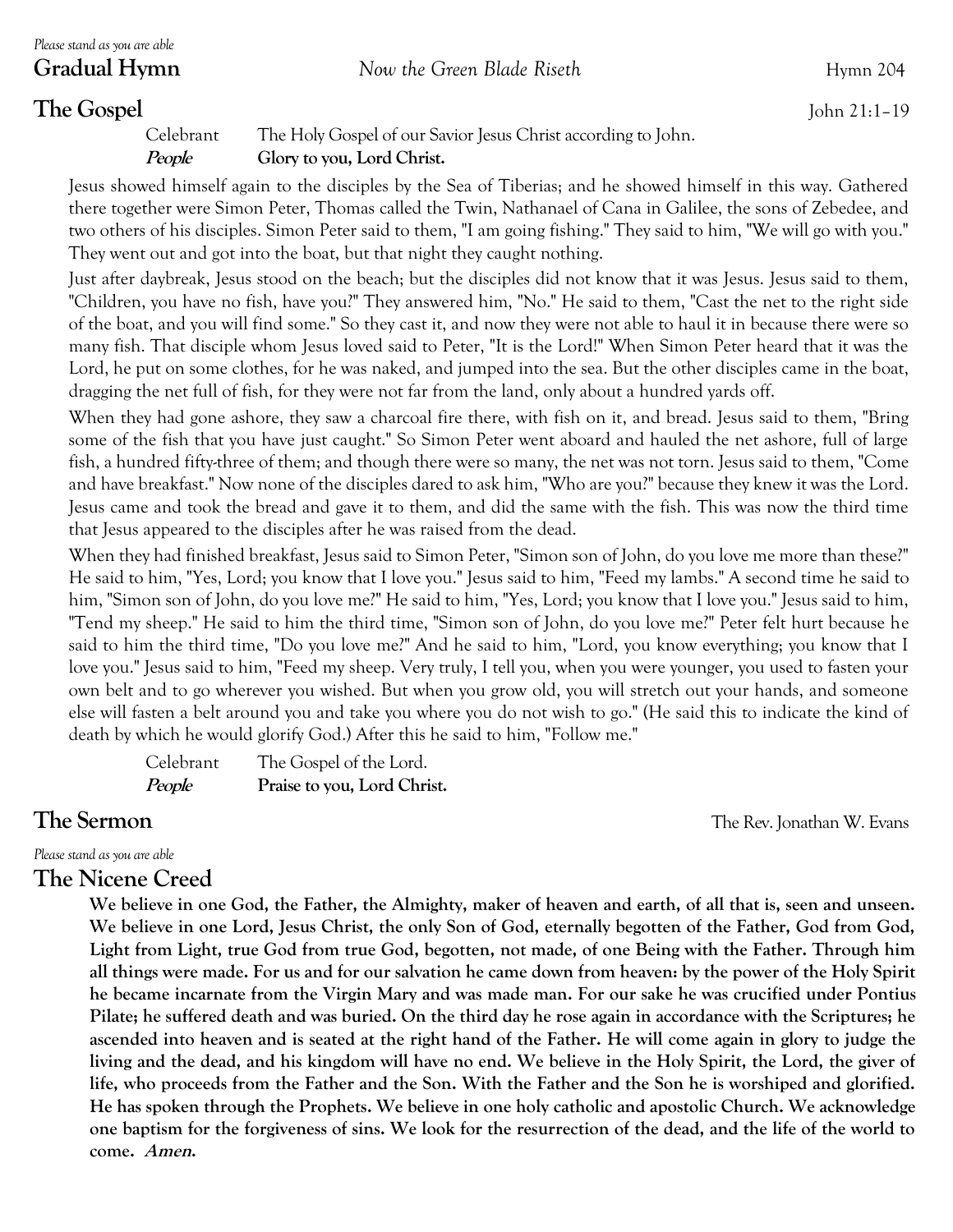# *Please stand as you are able*

### **The Gospel** John 21:1–19

Celebrant The Holy Gospel of our Savior Jesus Christ according to John.

**People Glory to you, Lord Christ.** 

Jesus showed himself again to the disciples by the Sea of Tiberias; and he showed himself in this way. Gathered there together were Simon Peter, Thomas called the Twin, Nathanael of Cana in Galilee, the sons of Zebedee, and two others of his disciples. Simon Peter said to them, "I am going fishing." They said to him, "We will go with you." They went out and got into the boat, but that night they caught nothing.

Just after daybreak, Jesus stood on the beach; but the disciples did not know that it was Jesus. Jesus said to them, "Children, you have no fish, have you?" They answered him, "No." He said to them, "Cast the net to the right side of the boat, and you will find some." So they cast it, and now they were not able to haul it in because there were so many fish. That disciple whom Jesus loved said to Peter, "It is the Lord!" When Simon Peter heard that it was the Lord, he put on some clothes, for he was naked, and jumped into the sea. But the other disciples came in the boat, dragging the net full of fish, for they were not far from the land, only about a hundred yards off.

When they had gone ashore, they saw a charcoal fire there, with fish on it, and bread. Jesus said to them, "Bring some of the fish that you have just caught." So Simon Peter went aboard and hauled the net ashore, full of large fish, a hundred fifty-three of them; and though there were so many, the net was not torn. Jesus said to them, "Come and have breakfast." Now none of the disciples dared to ask him, "Who are you?" because they knew it was the Lord. Jesus came and took the bread and gave it to them, and did the same with the fish. This was now the third time that Jesus appeared to the disciples after he was raised from the dead.

When they had finished breakfast, Jesus said to Simon Peter, "Simon son of John, do you love me more than these?" He said to him, "Yes, Lord; you know that I love you." Jesus said to him, "Feed my lambs." A second time he said to him, "Simon son of John, do you love me?" He said to him, "Yes, Lord; you know that I love you." Jesus said to him, "Tend my sheep." He said to him the third time, "Simon son of John, do you love me?" Peter felt hurt because he said to him the third time, "Do you love me?" And he said to him, "Lord, you know everything; you know that I love you." Jesus said to him, "Feed my sheep. Very truly, I tell you, when you were younger, you used to fasten your own belt and to go wherever you wished. But when you grow old, you will stretch out your hands, and someone else will fasten a belt around you and take you where you do not wish to go." (He said this to indicate the kind of death by which he would glorify God.) After this he said to him, "Follow me."

Celebrant The Gospel of the Lord. **People Praise to you, Lord Christ.** 

*Please stand as you are able*

## **The Nicene Creed**

**We believe in one God, the Father, the Almighty, maker of heaven and earth, of all that is, seen and unseen. We believe in one Lord, Jesus Christ, the only Son of God, eternally begotten of the Father, God from God, Light from Light, true God from true God, begotten, not made, of one Being with the Father. Through him all things were made. For us and for our salvation he came down from heaven: by the power of the Holy Spirit he became incarnate from the Virgin Mary and was made man. For our sake he was crucified under Pontius Pilate; he suffered death and was buried. On the third day he rose again in accordance with the Scriptures; he ascended into heaven and is seated at the right hand of the Father. He will come again in glory to judge the living and the dead, and his kingdom will have no end. We believe in the Holy Spirit, the Lord, the giver of life, who proceeds from the Father and the Son. With the Father and the Son he is worshiped and glorified. He has spoken through the Prophets. We believe in one holy catholic and apostolic Church. We acknowledge one baptism for the forgiveness of sins. We look for the resurrection of the dead, and the life of the world to come. Amen.**

**The Sermon CONSERVERGE THE REV. JONATHAN W. Evans**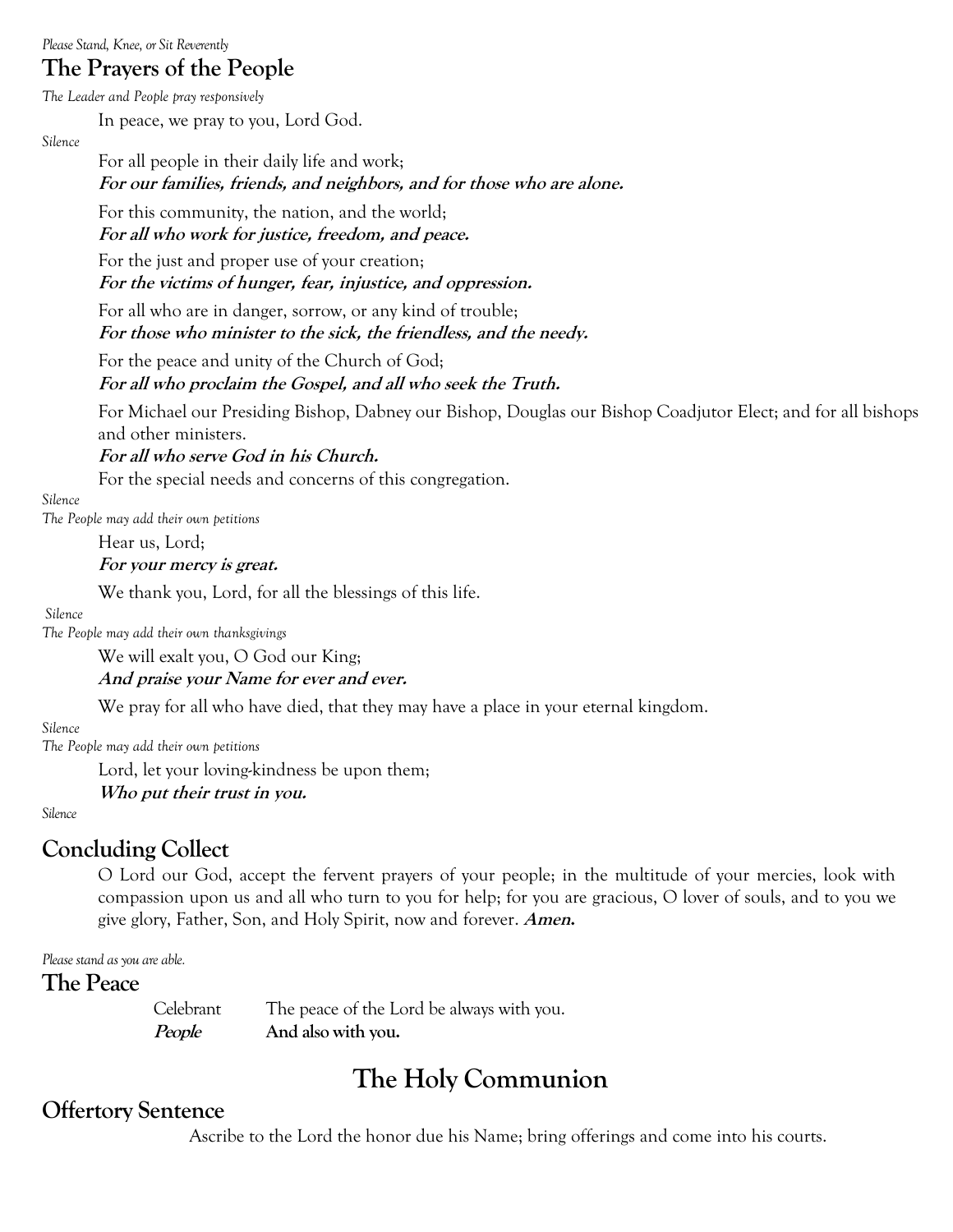*Please Stand, Knee,or Sit Reverently*

### **The Prayers of the People**

*The Leader and People pray responsively*

In peace, we pray to you, Lord God.

*Silence*

For all people in their daily life and work;

**For our families, friends, and neighbors, and for those who are alone.**

For this community, the nation, and the world;

**For all who work for justice, freedom, and peace.**

For the just and proper use of your creation;

**For the victims of hunger, fear, injustice, and oppression.**

For all who are in danger, sorrow, or any kind of trouble;

**For those who minister to the sick, the friendless, and the needy.**

For the peace and unity of the Church of God;

### **For all who proclaim the Gospel, and all who seek the Truth.**

For Michael our Presiding Bishop, Dabney our Bishop, Douglas our Bishop Coadjutor Elect; and for all bishops and other ministers.

### **For all who serve God in his Church.**

For the special needs and concerns of this congregation.

*Silence*

*The People may add their own petitions*

Hear us, Lord;

### **For your mercy is great.**

We thank you, Lord, for all the blessings of this life.

*Silence*

*The People may add their own thanksgivings*

We will exalt you, O God our King;

### **And praise your Name for ever and ever.**

We pray for all who have died, that they may have a place in your eternal kingdom.

*Silence*

*The People may add their own petitions*

Lord, let your loving-kindness be upon them;

**Who put their trust in you.**

*Silence*

### **Concluding Collect**

O Lord our God, accept the fervent prayers of your people; in the multitude of your mercies, look with compassion upon us and all who turn to you for help; for you are gracious, O lover of souls, and to you we give glory, Father, Son, and Holy Spirit, now and forever. **Amen.**

*Please stand as you are able.*

### **The Peace**

Celebrant The peace of the Lord be always with you. **People And also with you.**

## **The Holy Communion**

### **Offertory Sentence**

Ascribe to the Lord the honor due his Name; bring offerings and come into his courts.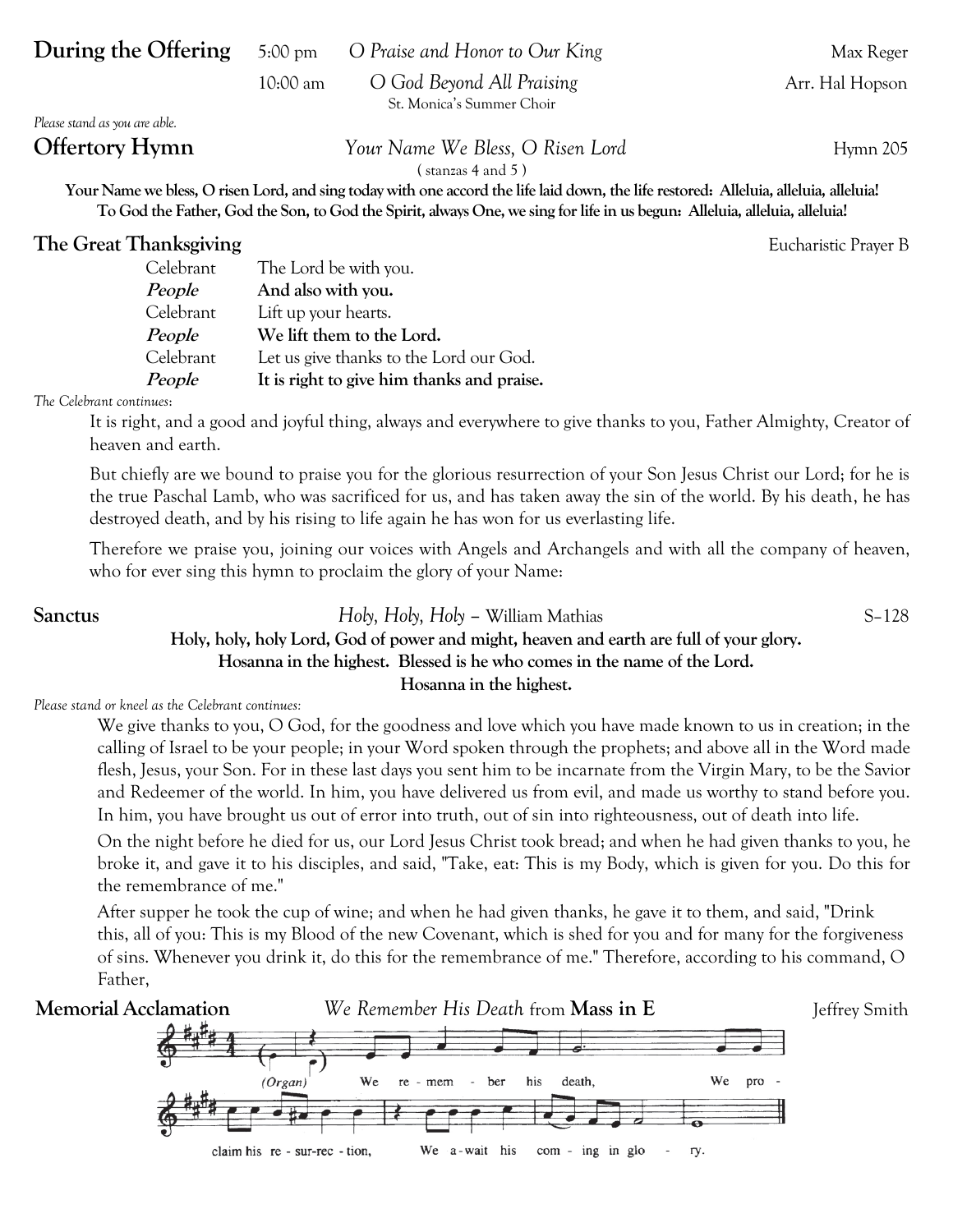**During the Offering** 5:00 pm O Praise and Honor to Our King Max Reger

10:00 am **O God Beyond All Praising and Arrest Arreland Arreland Arreland Arreland Arreland Arreland Arreland Arreland Arreland Arreland Arreland Arreland Arreland Arreland Arreland Arreland Arreland Arreland Arreland Arre** St. Monica's Summer Choir

*Please stand as you are able.*

### **Offertory Hymn** *Your Name We Bless, O Risen Lord* Hymn 205

( stanzas 4 and 5 )

**Your Name we bless, O risen Lord, and sing today with one accord the life laid down, the life restored: Alleluia, alleluia, alleluia! To God the Father, God the Son, to God the Spirit, always One, we sing for life in us begun: Alleluia, alleluia, alleluia!**

### **The Great Thanksgiving** Eucharistic Prayer B

| Celebrant     | The Lord be with you.                      |
|---------------|--------------------------------------------|
| People        | And also with you.                         |
| Celebrant     | Lift up your hearts.                       |
| People        | We lift them to the Lord.                  |
| Celebrant     | Let us give thanks to the Lord our God.    |
| <i>People</i> | It is right to give him thanks and praise. |

### *The Celebrant continues*:

It is right, and a good and joyful thing, always and everywhere to give thanks to you, Father Almighty, Creator of heaven and earth.

But chiefly are we bound to praise you for the glorious resurrection of your Son Jesus Christ our Lord; for he is the true Paschal Lamb, who was sacrificed for us, and has taken away the sin of the world. By his death, he has destroyed death, and by his rising to life again he has won for us everlasting life.

Therefore we praise you, joining our voices with Angels and Archangels and with all the company of heaven, who for ever sing this hymn to proclaim the glory of your Name:

### **Sanctus** *Holy, Holy, Holy* – William Mathias S–128

### **Holy, holy, holy Lord, God of power and might, heaven and earth are full of your glory. Hosanna in the highest. Blessed is he who comes in the name of the Lord. Hosanna in the highest.**

### *Please stand or kneel as the Celebrant continues:*

We give thanks to you, O God, for the goodness and love which you have made known to us in creation; in the calling of Israel to be your people; in your Word spoken through the prophets; and above all in the Word made flesh, Jesus, your Son. For in these last days you sent him to be incarnate from the Virgin Mary, to be the Savior and Redeemer of the world. In him, you have delivered us from evil, and made us worthy to stand before you. In him, you have brought us out of error into truth, out of sin into righteousness, out of death into life.

On the night before he died for us, our Lord Jesus Christ took bread; and when he had given thanks to you, he broke it, and gave it to his disciples, and said, "Take, eat: This is my Body, which is given for you. Do this for the remembrance of me."

After supper he took the cup of wine; and when he had given thanks, he gave it to them, and said, "Drink this, all of you: This is my Blood of the new Covenant, which is shed for you and for many for the forgiveness of sins. Whenever you drink it, do this for the remembrance of me." Therefore, according to his command, O Father,

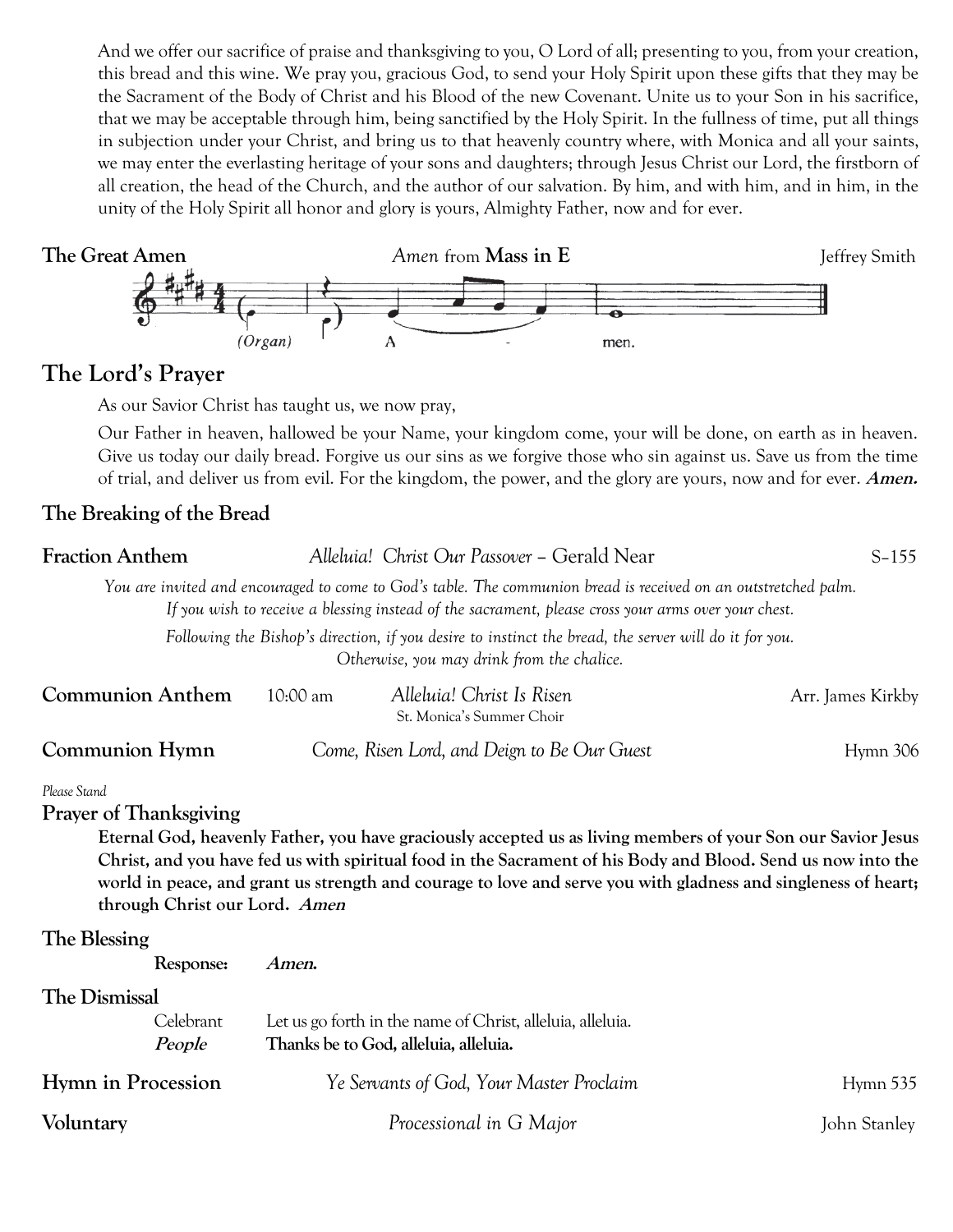And we offer our sacrifice of praise and thanksgiving to you, O Lord of all; presenting to you, from your creation, this bread and this wine. We pray you, gracious God, to send your Holy Spirit upon these gifts that they may be the Sacrament of the Body of Christ and his Blood of the new Covenant. Unite us to your Son in his sacrifice, that we may be acceptable through him, being sanctified by the Holy Spirit. In the fullness of time, put all things in subjection under your Christ, and bring us to that heavenly country where, with Monica and all your saints, we may enter the everlasting heritage of your sons and daughters; through Jesus Christ our Lord, the firstborn of all creation, the head of the Church, and the author of our salvation. By him, and with him, and in him, in the unity of the Holy Spirit all honor and glory is yours, Almighty Father, now and for ever.



### **The Lord's Prayer**

As our Savior Christ has taught us, we now pray,

Our Father in heaven, hallowed be your Name, your kingdom come, your will be done, on earth as in heaven. Give us today our daily bread. Forgive us our sins as we forgive those who sin against us. Save us from the time of trial, and deliver us from evil. For the kingdom, the power, and the glory are yours, now and for ever. **Amen.**

### **The Breaking of the Bread**

| <b>Fraction Anthem</b>  |                                             | Alleluia! Christ Our Passover - Gerald Near                                                                                                                                                                            | $S-155$           |
|-------------------------|---------------------------------------------|------------------------------------------------------------------------------------------------------------------------------------------------------------------------------------------------------------------------|-------------------|
|                         |                                             | You are invited and encouraged to come to God's table. The communion bread is received on an outstretched palm.<br>If you wish to receive a blessing instead of the sacrament, please cross your arms over your chest. |                   |
|                         |                                             | Following the Bishop's direction, if you desire to instinct the bread, the server will do it for you.<br>Otherwise, you may drink from the chalice.                                                                    |                   |
| <b>Communion Anthem</b> | $10:00$ am                                  | Alleluia! Christ Is Risen<br>St. Monica's Summer Choir                                                                                                                                                                 | Arr. James Kirkby |
| <b>Communion Hymn</b>   | Come, Risen Lord, and Deign to Be Our Guest |                                                                                                                                                                                                                        | <b>Hymn</b> 306   |
| Please Stand            |                                             |                                                                                                                                                                                                                        |                   |

**Prayer of Thanksgiving**

**Eternal God, heavenly Father, you have graciously accepted us as living members of your Son our Savior Jesus Christ, and you have fed us with spiritual food in the Sacrament of his Body and Blood. Send us now into the world in peace, and grant us strength and courage to love and serve you with gladness and singleness of heart; through Christ our Lord. Amen** 

### **The Blessing**

|                    | Response: | Amen.                                                      |              |  |  |
|--------------------|-----------|------------------------------------------------------------|--------------|--|--|
| The Dismissal      |           |                                                            |              |  |  |
|                    | Celebrant | Let us go forth in the name of Christ, alleluia, alleluia. |              |  |  |
|                    | People    | Thanks be to God, alleluia, alleluia.                      |              |  |  |
| Hymn in Procession |           | Ye Servants of God, Your Master Proclaim                   | Hymn 535     |  |  |
| Voluntary          |           | Processional in G Major                                    | John Stanley |  |  |